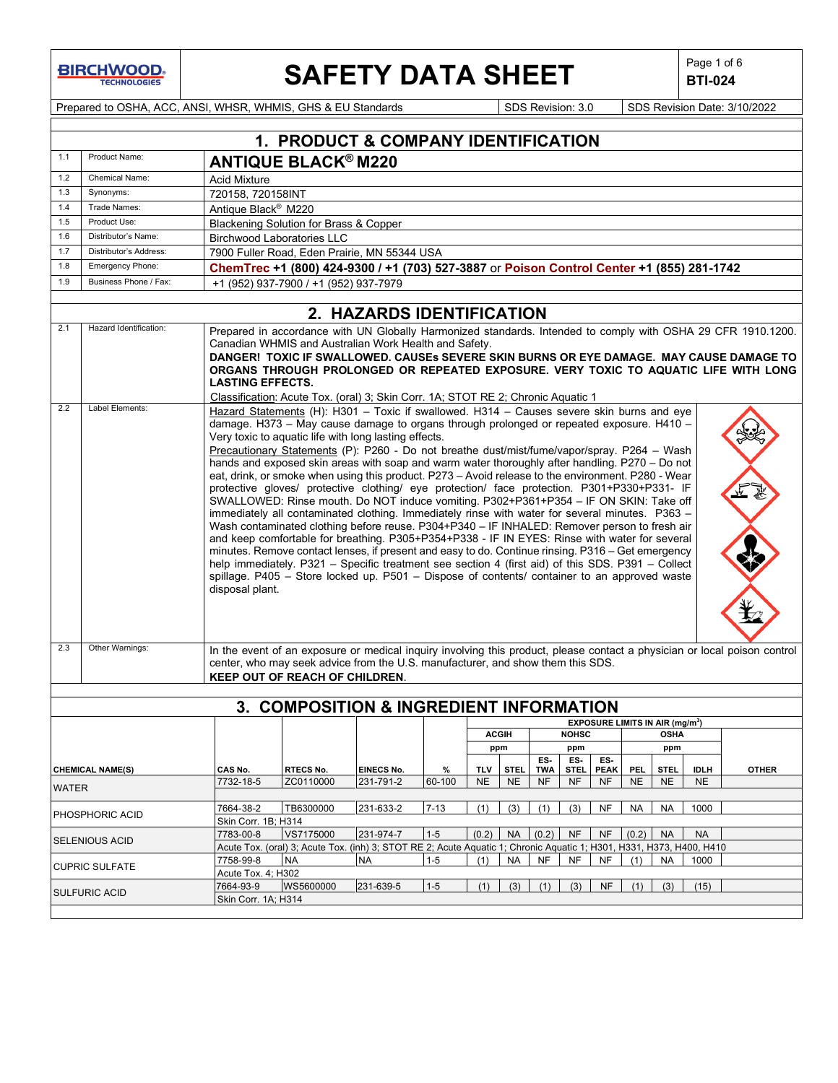## **SAFETY DATA SHEET**  $\left|\begin{array}{cc} \text{Page 1 of 6} \\ \text{BIT-024} \end{array}\right|$

**BTI-024**

Prepared to OSHA, ACC, ANSI, WHSR, WHMIS, GHS & EU Standards Superinted SDS Revision: 3.0 SDS Revision Date: 3/10/2022

|              |                                                                                                                                                                                                                                                                                                                                                                                                                                                                                                                                                                                                                                                                                                                                                                                                                                                                                                                                                                                                                                                                                                                                                                                                                                                                                   |                                                                                                                                                                                                                                                                                                                                                                                                                                                                                                                                                                     | 1. PRODUCT & COMPANY IDENTIFICATION                                                                                               |                           |          |            |                                                                                                                           |            |              |             |           |                                                  |             |              |
|--------------|-----------------------------------------------------------------------------------------------------------------------------------------------------------------------------------------------------------------------------------------------------------------------------------------------------------------------------------------------------------------------------------------------------------------------------------------------------------------------------------------------------------------------------------------------------------------------------------------------------------------------------------------------------------------------------------------------------------------------------------------------------------------------------------------------------------------------------------------------------------------------------------------------------------------------------------------------------------------------------------------------------------------------------------------------------------------------------------------------------------------------------------------------------------------------------------------------------------------------------------------------------------------------------------|---------------------------------------------------------------------------------------------------------------------------------------------------------------------------------------------------------------------------------------------------------------------------------------------------------------------------------------------------------------------------------------------------------------------------------------------------------------------------------------------------------------------------------------------------------------------|-----------------------------------------------------------------------------------------------------------------------------------|---------------------------|----------|------------|---------------------------------------------------------------------------------------------------------------------------|------------|--------------|-------------|-----------|--------------------------------------------------|-------------|--------------|
| 1.1          | Product Name:                                                                                                                                                                                                                                                                                                                                                                                                                                                                                                                                                                                                                                                                                                                                                                                                                                                                                                                                                                                                                                                                                                                                                                                                                                                                     |                                                                                                                                                                                                                                                                                                                                                                                                                                                                                                                                                                     | <b>ANTIQUE BLACK® M220</b>                                                                                                        |                           |          |            |                                                                                                                           |            |              |             |           |                                                  |             |              |
| 1.2          | Chemical Name:                                                                                                                                                                                                                                                                                                                                                                                                                                                                                                                                                                                                                                                                                                                                                                                                                                                                                                                                                                                                                                                                                                                                                                                                                                                                    | <b>Acid Mixture</b>                                                                                                                                                                                                                                                                                                                                                                                                                                                                                                                                                 |                                                                                                                                   |                           |          |            |                                                                                                                           |            |              |             |           |                                                  |             |              |
| 1.3          | Synonyms:                                                                                                                                                                                                                                                                                                                                                                                                                                                                                                                                                                                                                                                                                                                                                                                                                                                                                                                                                                                                                                                                                                                                                                                                                                                                         | 720158, 720158INT                                                                                                                                                                                                                                                                                                                                                                                                                                                                                                                                                   |                                                                                                                                   |                           |          |            |                                                                                                                           |            |              |             |           |                                                  |             |              |
| 1.4          | Trade Names:                                                                                                                                                                                                                                                                                                                                                                                                                                                                                                                                                                                                                                                                                                                                                                                                                                                                                                                                                                                                                                                                                                                                                                                                                                                                      | Antique Black <sup>®</sup> M220                                                                                                                                                                                                                                                                                                                                                                                                                                                                                                                                     |                                                                                                                                   |                           |          |            |                                                                                                                           |            |              |             |           |                                                  |             |              |
| 1.5          | Product Use:                                                                                                                                                                                                                                                                                                                                                                                                                                                                                                                                                                                                                                                                                                                                                                                                                                                                                                                                                                                                                                                                                                                                                                                                                                                                      |                                                                                                                                                                                                                                                                                                                                                                                                                                                                                                                                                                     |                                                                                                                                   |                           |          |            |                                                                                                                           |            |              |             |           |                                                  |             |              |
| 1.6          | Distributor's Name:                                                                                                                                                                                                                                                                                                                                                                                                                                                                                                                                                                                                                                                                                                                                                                                                                                                                                                                                                                                                                                                                                                                                                                                                                                                               |                                                                                                                                                                                                                                                                                                                                                                                                                                                                                                                                                                     | Blackening Solution for Brass & Copper                                                                                            |                           |          |            |                                                                                                                           |            |              |             |           |                                                  |             |              |
|              |                                                                                                                                                                                                                                                                                                                                                                                                                                                                                                                                                                                                                                                                                                                                                                                                                                                                                                                                                                                                                                                                                                                                                                                                                                                                                   |                                                                                                                                                                                                                                                                                                                                                                                                                                                                                                                                                                     | <b>Birchwood Laboratories LLC</b>                                                                                                 |                           |          |            |                                                                                                                           |            |              |             |           |                                                  |             |              |
| 1.7          | Distributor's Address:                                                                                                                                                                                                                                                                                                                                                                                                                                                                                                                                                                                                                                                                                                                                                                                                                                                                                                                                                                                                                                                                                                                                                                                                                                                            | 7900 Fuller Road, Eden Prairie, MN 55344 USA                                                                                                                                                                                                                                                                                                                                                                                                                                                                                                                        |                                                                                                                                   |                           |          |            |                                                                                                                           |            |              |             |           |                                                  |             |              |
| 1.8          | Emergency Phone:<br>ChemTrec +1 (800) 424-9300 / +1 (703) 527-3887 or Poison Control Center +1 (855) 281-1742                                                                                                                                                                                                                                                                                                                                                                                                                                                                                                                                                                                                                                                                                                                                                                                                                                                                                                                                                                                                                                                                                                                                                                     |                                                                                                                                                                                                                                                                                                                                                                                                                                                                                                                                                                     |                                                                                                                                   |                           |          |            |                                                                                                                           |            |              |             |           |                                                  |             |              |
|              | Business Phone / Fax:<br>1.9<br>+1 (952) 937-7900 / +1 (952) 937-7979                                                                                                                                                                                                                                                                                                                                                                                                                                                                                                                                                                                                                                                                                                                                                                                                                                                                                                                                                                                                                                                                                                                                                                                                             |                                                                                                                                                                                                                                                                                                                                                                                                                                                                                                                                                                     |                                                                                                                                   |                           |          |            |                                                                                                                           |            |              |             |           |                                                  |             |              |
|              |                                                                                                                                                                                                                                                                                                                                                                                                                                                                                                                                                                                                                                                                                                                                                                                                                                                                                                                                                                                                                                                                                                                                                                                                                                                                                   |                                                                                                                                                                                                                                                                                                                                                                                                                                                                                                                                                                     |                                                                                                                                   | 2. HAZARDS IDENTIFICATION |          |            |                                                                                                                           |            |              |             |           |                                                  |             |              |
| 2.1<br>2.2   | Hazard Identification:<br>Label Elements:                                                                                                                                                                                                                                                                                                                                                                                                                                                                                                                                                                                                                                                                                                                                                                                                                                                                                                                                                                                                                                                                                                                                                                                                                                         | Prepared in accordance with UN Globally Harmonized standards. Intended to comply with OSHA 29 CFR 1910.1200.<br>Canadian WHMIS and Australian Work Health and Safety.<br>DANGER! TOXIC IF SWALLOWED. CAUSEs SEVERE SKIN BURNS OR EYE DAMAGE. MAY CAUSE DAMAGE TO<br>ORGANS THROUGH PROLONGED OR REPEATED EXPOSURE. VERY TOXIC TO AQUATIC LIFE WITH LONG<br><b>LASTING EFFECTS.</b><br>Classification: Acute Tox. (oral) 3; Skin Corr. 1A; STOT RE 2; Chronic Aquatic 1<br>Hazard Statements (H): H301 - Toxic if swallowed. H314 - Causes severe skin burns and eye |                                                                                                                                   |                           |          |            |                                                                                                                           |            |              |             |           |                                                  |             |              |
| 2.3          | damage. H373 - May cause damage to organs through prolonged or repeated exposure. H410 -<br>Very toxic to aquatic life with long lasting effects.<br>Precautionary Statements (P): P260 - Do not breathe dust/mist/fume/vapor/spray. P264 - Wash<br>hands and exposed skin areas with soap and warm water thoroughly after handling. P270 - Do not<br>eat, drink, or smoke when using this product. P273 - Avoid release to the environment. P280 - Wear<br>protective gloves/ protective clothing/ eye protection/ face protection. P301+P330+P331- IF<br>SWALLOWED: Rinse mouth. Do NOT induce vomiting. P302+P361+P354 - IF ON SKIN: Take off<br>immediately all contaminated clothing. Immediately rinse with water for several minutes. P363 -<br>Wash contaminated clothing before reuse. P304+P340 - IF INHALED: Remover person to fresh air<br>and keep comfortable for breathing. P305+P354+P338 - IF IN EYES: Rinse with water for several<br>minutes. Remove contact lenses, if present and easy to do. Continue rinsing. P316 - Get emergency<br>help immediately. P321 - Specific treatment see section 4 (first aid) of this SDS. P391 - Collect<br>spillage. P405 - Store locked up. P501 - Dispose of contents/ container to an approved waste<br>disposal plant. |                                                                                                                                                                                                                                                                                                                                                                                                                                                                                                                                                                     |                                                                                                                                   |                           |          |            | In the event of an exposure or medical inquiry involving this product, please contact a physician or local poison control |            |              |             |           |                                                  |             |              |
|              |                                                                                                                                                                                                                                                                                                                                                                                                                                                                                                                                                                                                                                                                                                                                                                                                                                                                                                                                                                                                                                                                                                                                                                                                                                                                                   |                                                                                                                                                                                                                                                                                                                                                                                                                                                                                                                                                                     | center, who may seek advice from the U.S. manufacturer, and show them this SDS.<br>KEEP OUT OF REACH OF CHILDREN.                 |                           |          |            |                                                                                                                           |            |              |             |           |                                                  |             |              |
|              |                                                                                                                                                                                                                                                                                                                                                                                                                                                                                                                                                                                                                                                                                                                                                                                                                                                                                                                                                                                                                                                                                                                                                                                                                                                                                   |                                                                                                                                                                                                                                                                                                                                                                                                                                                                                                                                                                     |                                                                                                                                   |                           |          |            |                                                                                                                           |            |              |             |           |                                                  |             |              |
|              |                                                                                                                                                                                                                                                                                                                                                                                                                                                                                                                                                                                                                                                                                                                                                                                                                                                                                                                                                                                                                                                                                                                                                                                                                                                                                   |                                                                                                                                                                                                                                                                                                                                                                                                                                                                                                                                                                     | 3. COMPOSITION & INGREDIENT INFORMATION                                                                                           |                           |          |            |                                                                                                                           |            |              |             |           |                                                  |             |              |
|              |                                                                                                                                                                                                                                                                                                                                                                                                                                                                                                                                                                                                                                                                                                                                                                                                                                                                                                                                                                                                                                                                                                                                                                                                                                                                                   |                                                                                                                                                                                                                                                                                                                                                                                                                                                                                                                                                                     |                                                                                                                                   |                           |          |            |                                                                                                                           |            |              |             |           | <b>EXPOSURE LIMITS IN AIR (mg/m<sup>3</sup>)</b> |             |              |
|              |                                                                                                                                                                                                                                                                                                                                                                                                                                                                                                                                                                                                                                                                                                                                                                                                                                                                                                                                                                                                                                                                                                                                                                                                                                                                                   |                                                                                                                                                                                                                                                                                                                                                                                                                                                                                                                                                                     |                                                                                                                                   |                           |          |            | <b>ACGIH</b>                                                                                                              |            | <b>NOHSC</b> |             |           | <b>OSHA</b>                                      |             |              |
|              |                                                                                                                                                                                                                                                                                                                                                                                                                                                                                                                                                                                                                                                                                                                                                                                                                                                                                                                                                                                                                                                                                                                                                                                                                                                                                   |                                                                                                                                                                                                                                                                                                                                                                                                                                                                                                                                                                     |                                                                                                                                   |                           |          |            | ppm                                                                                                                       |            | ppm          |             |           | ppm                                              |             |              |
|              |                                                                                                                                                                                                                                                                                                                                                                                                                                                                                                                                                                                                                                                                                                                                                                                                                                                                                                                                                                                                                                                                                                                                                                                                                                                                                   |                                                                                                                                                                                                                                                                                                                                                                                                                                                                                                                                                                     |                                                                                                                                   |                           |          |            |                                                                                                                           | ES-        | ES-          | ES-         |           |                                                  |             |              |
|              | <b>CHEMICAL NAME(S)</b>                                                                                                                                                                                                                                                                                                                                                                                                                                                                                                                                                                                                                                                                                                                                                                                                                                                                                                                                                                                                                                                                                                                                                                                                                                                           | CAS No.                                                                                                                                                                                                                                                                                                                                                                                                                                                                                                                                                             | RTECS No.                                                                                                                         | <b>EINECS No.</b>         | %        | <b>TLV</b> | <b>STEL</b>                                                                                                               | <b>TWA</b> | <b>STEL</b>  | <b>PEAK</b> | PEL.      | <b>STEL</b>                                      | <b>IDLH</b> | <b>OTHER</b> |
| <b>WATER</b> |                                                                                                                                                                                                                                                                                                                                                                                                                                                                                                                                                                                                                                                                                                                                                                                                                                                                                                                                                                                                                                                                                                                                                                                                                                                                                   | 7732-18-5                                                                                                                                                                                                                                                                                                                                                                                                                                                                                                                                                           | ZC0110000                                                                                                                         | 231-791-2                 | 60-100   | <b>NE</b>  | <b>NE</b>                                                                                                                 | NF         | <b>NF</b>    | NF          | <b>NE</b> | <b>NE</b>                                        | <b>NE</b>   |              |
|              |                                                                                                                                                                                                                                                                                                                                                                                                                                                                                                                                                                                                                                                                                                                                                                                                                                                                                                                                                                                                                                                                                                                                                                                                                                                                                   |                                                                                                                                                                                                                                                                                                                                                                                                                                                                                                                                                                     |                                                                                                                                   |                           |          |            |                                                                                                                           |            |              |             |           |                                                  |             |              |
|              | PHOSPHORIC ACID                                                                                                                                                                                                                                                                                                                                                                                                                                                                                                                                                                                                                                                                                                                                                                                                                                                                                                                                                                                                                                                                                                                                                                                                                                                                   | 7664-38-2                                                                                                                                                                                                                                                                                                                                                                                                                                                                                                                                                           | TB6300000                                                                                                                         | 231-633-2                 | $7 - 13$ | (1)        | (3)                                                                                                                       | (1)        | (3)          | NF          | <b>NA</b> | <b>NA</b>                                        | 1000        |              |
|              |                                                                                                                                                                                                                                                                                                                                                                                                                                                                                                                                                                                                                                                                                                                                                                                                                                                                                                                                                                                                                                                                                                                                                                                                                                                                                   | Skin Corr. 1B; H314                                                                                                                                                                                                                                                                                                                                                                                                                                                                                                                                                 |                                                                                                                                   |                           |          |            |                                                                                                                           |            |              |             |           |                                                  |             |              |
|              | <b>SELENIOUS ACID</b>                                                                                                                                                                                                                                                                                                                                                                                                                                                                                                                                                                                                                                                                                                                                                                                                                                                                                                                                                                                                                                                                                                                                                                                                                                                             | 7783-00-8                                                                                                                                                                                                                                                                                                                                                                                                                                                                                                                                                           | VS7175000                                                                                                                         | 231-974-7                 | $1-5$    | (0.2)      | <b>NA</b>                                                                                                                 | (0.2)      | <b>NF</b>    | <b>NF</b>   | (0.2)     | <b>NA</b>                                        | <b>NA</b>   |              |
|              |                                                                                                                                                                                                                                                                                                                                                                                                                                                                                                                                                                                                                                                                                                                                                                                                                                                                                                                                                                                                                                                                                                                                                                                                                                                                                   | 7758-99-8                                                                                                                                                                                                                                                                                                                                                                                                                                                                                                                                                           | Acute Tox. (oral) 3; Acute Tox. (inh) 3; STOT RE 2; Acute Aquatic 1; Chronic Aquatic 1; H301, H331, H373, H400, H410<br><b>NA</b> | <b>NA</b>                 |          |            | <b>NA</b>                                                                                                                 |            |              |             |           | <b>NA</b>                                        |             |              |
|              | <b>CUPRIC SULFATE</b>                                                                                                                                                                                                                                                                                                                                                                                                                                                                                                                                                                                                                                                                                                                                                                                                                                                                                                                                                                                                                                                                                                                                                                                                                                                             |                                                                                                                                                                                                                                                                                                                                                                                                                                                                                                                                                                     |                                                                                                                                   |                           | $1 - 5$  | (1)        |                                                                                                                           | NF         | NF           | NF          | (1)       |                                                  | 1000        |              |
|              |                                                                                                                                                                                                                                                                                                                                                                                                                                                                                                                                                                                                                                                                                                                                                                                                                                                                                                                                                                                                                                                                                                                                                                                                                                                                                   | Acute Tox. 4; H302<br>7664-93-9                                                                                                                                                                                                                                                                                                                                                                                                                                                                                                                                     | WS5600000                                                                                                                         | 231-639-5                 | $1-5$    | (1)        | (3)                                                                                                                       | (1)        | (3)          | <b>NF</b>   | (1)       | (3)                                              | (15)        |              |
|              | <b>SULFURIC ACID</b>                                                                                                                                                                                                                                                                                                                                                                                                                                                                                                                                                                                                                                                                                                                                                                                                                                                                                                                                                                                                                                                                                                                                                                                                                                                              | Skin Corr. 1A; H314                                                                                                                                                                                                                                                                                                                                                                                                                                                                                                                                                 |                                                                                                                                   |                           |          |            |                                                                                                                           |            |              |             |           |                                                  |             |              |
|              |                                                                                                                                                                                                                                                                                                                                                                                                                                                                                                                                                                                                                                                                                                                                                                                                                                                                                                                                                                                                                                                                                                                                                                                                                                                                                   |                                                                                                                                                                                                                                                                                                                                                                                                                                                                                                                                                                     |                                                                                                                                   |                           |          |            |                                                                                                                           |            |              |             |           |                                                  |             |              |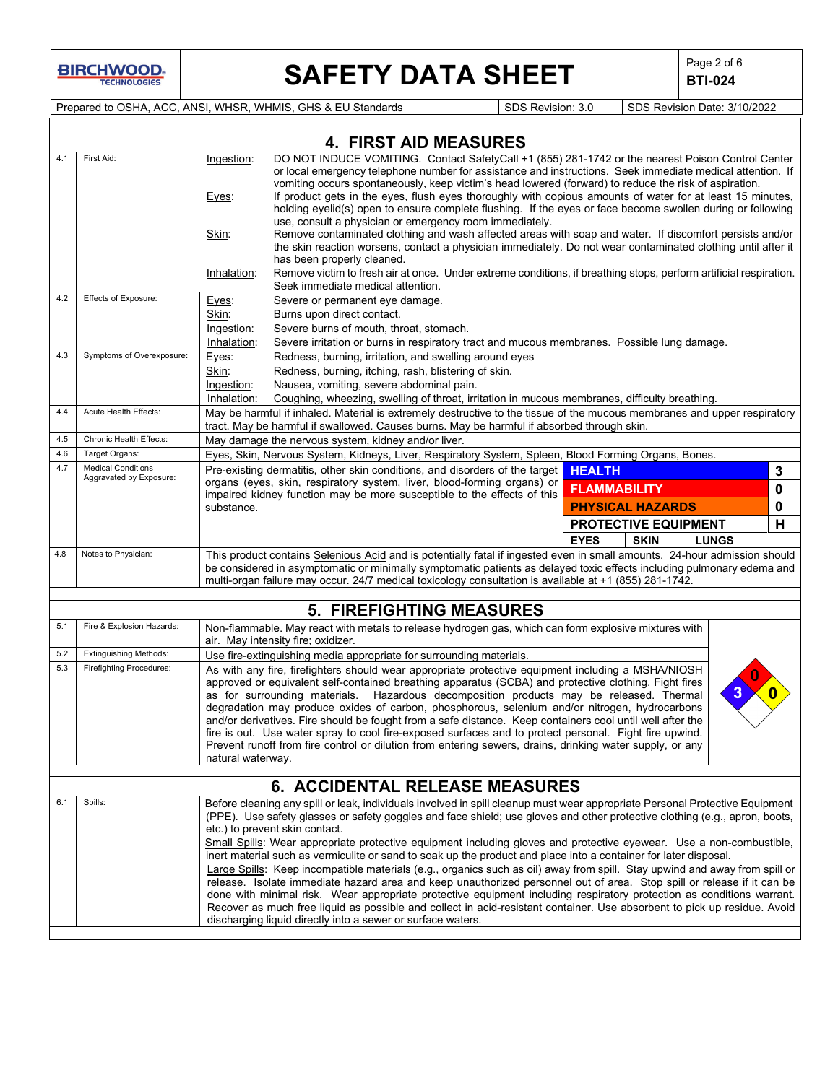# **SAFETY DATA SHEET**  $\left|\begin{array}{cc} \text{Page 2 of 6} \\ \text{BTI-024} \end{array}\right|$

**BTI-024**

Prepared to OSHA, ACC, ANSI, WHSR, WHMIS, GHS & EU Standards Superinted SDS Revision: 3.0 SDS Revision Date: 3/10/2022

|     |                                                      |                                                                                                                                                                                                                                                                                                                                                               | <b>4. FIRST AID MEASURES</b>                                                                                                                                                                                                                                                                                                                                                                                                                                                                                                                                                                                                                                                                                                                                                                                                                                                                                                                                                                                                                                                                                        |                                            |             |  |  |
|-----|------------------------------------------------------|---------------------------------------------------------------------------------------------------------------------------------------------------------------------------------------------------------------------------------------------------------------------------------------------------------------------------------------------------------------|---------------------------------------------------------------------------------------------------------------------------------------------------------------------------------------------------------------------------------------------------------------------------------------------------------------------------------------------------------------------------------------------------------------------------------------------------------------------------------------------------------------------------------------------------------------------------------------------------------------------------------------------------------------------------------------------------------------------------------------------------------------------------------------------------------------------------------------------------------------------------------------------------------------------------------------------------------------------------------------------------------------------------------------------------------------------------------------------------------------------|--------------------------------------------|-------------|--|--|
| 4.1 | First Aid:                                           | Ingestion:<br>Eyes:<br>Skin:<br>Inhalation:                                                                                                                                                                                                                                                                                                                   | DO NOT INDUCE VOMITING. Contact SafetyCall +1 (855) 281-1742 or the nearest Poison Control Center<br>or local emergency telephone number for assistance and instructions. Seek immediate medical attention. If<br>vomiting occurs spontaneously, keep victim's head lowered (forward) to reduce the risk of aspiration.<br>If product gets in the eyes, flush eyes thoroughly with copious amounts of water for at least 15 minutes,<br>holding eyelid(s) open to ensure complete flushing. If the eyes or face become swollen during or following<br>use, consult a physician or emergency room immediately.<br>Remove contaminated clothing and wash affected areas with soap and water. If discomfort persists and/or<br>the skin reaction worsens, contact a physician immediately. Do not wear contaminated clothing until after it<br>has been properly cleaned.<br>Remove victim to fresh air at once. Under extreme conditions, if breathing stops, perform artificial respiration.<br>Seek immediate medical attention.                                                                                    |                                            |             |  |  |
| 4.2 | Effects of Exposure:                                 | Eyes:                                                                                                                                                                                                                                                                                                                                                         | Severe or permanent eye damage.                                                                                                                                                                                                                                                                                                                                                                                                                                                                                                                                                                                                                                                                                                                                                                                                                                                                                                                                                                                                                                                                                     |                                            |             |  |  |
|     |                                                      | Skin:                                                                                                                                                                                                                                                                                                                                                         | Burns upon direct contact.                                                                                                                                                                                                                                                                                                                                                                                                                                                                                                                                                                                                                                                                                                                                                                                                                                                                                                                                                                                                                                                                                          |                                            |             |  |  |
|     |                                                      | Ingestion:                                                                                                                                                                                                                                                                                                                                                    | Severe burns of mouth, throat, stomach.                                                                                                                                                                                                                                                                                                                                                                                                                                                                                                                                                                                                                                                                                                                                                                                                                                                                                                                                                                                                                                                                             |                                            |             |  |  |
| 4.3 | Symptoms of Overexposure:                            | Inhalation:                                                                                                                                                                                                                                                                                                                                                   | Severe irritation or burns in respiratory tract and mucous membranes. Possible lung damage.                                                                                                                                                                                                                                                                                                                                                                                                                                                                                                                                                                                                                                                                                                                                                                                                                                                                                                                                                                                                                         |                                            |             |  |  |
|     |                                                      | Eyes:<br>Skin:                                                                                                                                                                                                                                                                                                                                                | Redness, burning, irritation, and swelling around eyes<br>Redness, burning, itching, rash, blistering of skin.                                                                                                                                                                                                                                                                                                                                                                                                                                                                                                                                                                                                                                                                                                                                                                                                                                                                                                                                                                                                      |                                            |             |  |  |
|     |                                                      | Ingestion:                                                                                                                                                                                                                                                                                                                                                    | Nausea, vomiting, severe abdominal pain.                                                                                                                                                                                                                                                                                                                                                                                                                                                                                                                                                                                                                                                                                                                                                                                                                                                                                                                                                                                                                                                                            |                                            |             |  |  |
|     |                                                      | Inhalation:                                                                                                                                                                                                                                                                                                                                                   | Coughing, wheezing, swelling of throat, irritation in mucous membranes, difficulty breathing.                                                                                                                                                                                                                                                                                                                                                                                                                                                                                                                                                                                                                                                                                                                                                                                                                                                                                                                                                                                                                       |                                            |             |  |  |
| 4.4 | Acute Health Effects:                                |                                                                                                                                                                                                                                                                                                                                                               | May be harmful if inhaled. Material is extremely destructive to the tissue of the mucous membranes and upper respiratory<br>tract. May be harmful if swallowed. Causes burns. May be harmful if absorbed through skin.                                                                                                                                                                                                                                                                                                                                                                                                                                                                                                                                                                                                                                                                                                                                                                                                                                                                                              |                                            |             |  |  |
| 4.5 | Chronic Health Effects:                              |                                                                                                                                                                                                                                                                                                                                                               | May damage the nervous system, kidney and/or liver.                                                                                                                                                                                                                                                                                                                                                                                                                                                                                                                                                                                                                                                                                                                                                                                                                                                                                                                                                                                                                                                                 |                                            |             |  |  |
| 4.6 | Target Organs:                                       |                                                                                                                                                                                                                                                                                                                                                               | Eyes, Skin, Nervous System, Kidneys, Liver, Respiratory System, Spleen, Blood Forming Organs, Bones.                                                                                                                                                                                                                                                                                                                                                                                                                                                                                                                                                                                                                                                                                                                                                                                                                                                                                                                                                                                                                |                                            |             |  |  |
| 4.7 | <b>Medical Conditions</b><br>Aggravated by Exposure: |                                                                                                                                                                                                                                                                                                                                                               | Pre-existing dermatitis, other skin conditions, and disorders of the target                                                                                                                                                                                                                                                                                                                                                                                                                                                                                                                                                                                                                                                                                                                                                                                                                                                                                                                                                                                                                                         | <b>HEALTH</b>                              | 3           |  |  |
|     |                                                      |                                                                                                                                                                                                                                                                                                                                                               | organs (eyes, skin, respiratory system, liver, blood-forming organs) or<br>impaired kidney function may be more susceptible to the effects of this                                                                                                                                                                                                                                                                                                                                                                                                                                                                                                                                                                                                                                                                                                                                                                                                                                                                                                                                                                  | <b>FLAMMABILITY</b>                        | $\mathbf 0$ |  |  |
|     |                                                      | substance.                                                                                                                                                                                                                                                                                                                                                    |                                                                                                                                                                                                                                                                                                                                                                                                                                                                                                                                                                                                                                                                                                                                                                                                                                                                                                                                                                                                                                                                                                                     | <b>PHYSICAL HAZARDS</b>                    | 0           |  |  |
|     |                                                      |                                                                                                                                                                                                                                                                                                                                                               |                                                                                                                                                                                                                                                                                                                                                                                                                                                                                                                                                                                                                                                                                                                                                                                                                                                                                                                                                                                                                                                                                                                     | PROTECTIVE EQUIPMENT                       | H           |  |  |
|     |                                                      |                                                                                                                                                                                                                                                                                                                                                               |                                                                                                                                                                                                                                                                                                                                                                                                                                                                                                                                                                                                                                                                                                                                                                                                                                                                                                                                                                                                                                                                                                                     | <b>EYES</b><br><b>SKIN</b><br><b>LUNGS</b> |             |  |  |
| 4.8 | Notes to Physician:                                  | This product contains Selenious Acid and is potentially fatal if ingested even in small amounts. 24-hour admission should<br>be considered in asymptomatic or minimally symptomatic patients as delayed toxic effects including pulmonary edema and<br>multi-organ failure may occur. 24/7 medical toxicology consultation is available at +1 (855) 281-1742. |                                                                                                                                                                                                                                                                                                                                                                                                                                                                                                                                                                                                                                                                                                                                                                                                                                                                                                                                                                                                                                                                                                                     |                                            |             |  |  |
|     |                                                      |                                                                                                                                                                                                                                                                                                                                                               |                                                                                                                                                                                                                                                                                                                                                                                                                                                                                                                                                                                                                                                                                                                                                                                                                                                                                                                                                                                                                                                                                                                     |                                            |             |  |  |
|     |                                                      |                                                                                                                                                                                                                                                                                                                                                               |                                                                                                                                                                                                                                                                                                                                                                                                                                                                                                                                                                                                                                                                                                                                                                                                                                                                                                                                                                                                                                                                                                                     |                                            |             |  |  |
| 5.1 | Fire & Explosion Hazards:                            |                                                                                                                                                                                                                                                                                                                                                               | <b>5. FIREFIGHTING MEASURES</b><br>Non-flammable. May react with metals to release hydrogen gas, which can form explosive mixtures with                                                                                                                                                                                                                                                                                                                                                                                                                                                                                                                                                                                                                                                                                                                                                                                                                                                                                                                                                                             |                                            |             |  |  |
| 5.2 | <b>Extinguishing Methods:</b>                        |                                                                                                                                                                                                                                                                                                                                                               | air. May intensity fire; oxidizer.<br>Use fire-extinguishing media appropriate for surrounding materials.                                                                                                                                                                                                                                                                                                                                                                                                                                                                                                                                                                                                                                                                                                                                                                                                                                                                                                                                                                                                           |                                            |             |  |  |
| 5.3 | <b>Firefighting Procedures:</b>                      | natural waterway.                                                                                                                                                                                                                                                                                                                                             | As with any fire, firefighters should wear appropriate protective equipment including a MSHA/NIOSH<br>approved or equivalent self-contained breathing apparatus (SCBA) and protective clothing. Fight fires<br>as for surrounding materials. Hazardous decomposition products may be released. Thermal<br>degradation may produce oxides of carbon, phosphorous, selenium and/or nitrogen, hydrocarbons<br>and/or derivatives. Fire should be fought from a safe distance. Keep containers cool until well after the<br>fire is out. Use water spray to cool fire-exposed surfaces and to protect personal. Fight fire upwind.<br>Prevent runoff from fire control or dilution from entering sewers, drains, drinking water supply, or any                                                                                                                                                                                                                                                                                                                                                                          |                                            |             |  |  |
|     |                                                      |                                                                                                                                                                                                                                                                                                                                                               |                                                                                                                                                                                                                                                                                                                                                                                                                                                                                                                                                                                                                                                                                                                                                                                                                                                                                                                                                                                                                                                                                                                     |                                            |             |  |  |
|     |                                                      |                                                                                                                                                                                                                                                                                                                                                               | 6. ACCIDENTAL RELEASE MEASURES                                                                                                                                                                                                                                                                                                                                                                                                                                                                                                                                                                                                                                                                                                                                                                                                                                                                                                                                                                                                                                                                                      |                                            |             |  |  |
| 6.1 | Spills:                                              |                                                                                                                                                                                                                                                                                                                                                               | Before cleaning any spill or leak, individuals involved in spill cleanup must wear appropriate Personal Protective Equipment<br>(PPE). Use safety glasses or safety goggles and face shield; use gloves and other protective clothing (e.g., apron, boots,<br>etc.) to prevent skin contact.<br>Small Spills: Wear appropriate protective equipment including gloves and protective eyewear. Use a non-combustible,<br>inert material such as vermiculite or sand to soak up the product and place into a container for later disposal.<br>Large Spills: Keep incompatible materials (e.g., organics such as oil) away from spill. Stay upwind and away from spill or<br>release. Isolate immediate hazard area and keep unauthorized personnel out of area. Stop spill or release if it can be<br>done with minimal risk. Wear appropriate protective equipment including respiratory protection as conditions warrant.<br>Recover as much free liquid as possible and collect in acid-resistant container. Use absorbent to pick up residue. Avoid<br>discharging liquid directly into a sewer or surface waters. |                                            |             |  |  |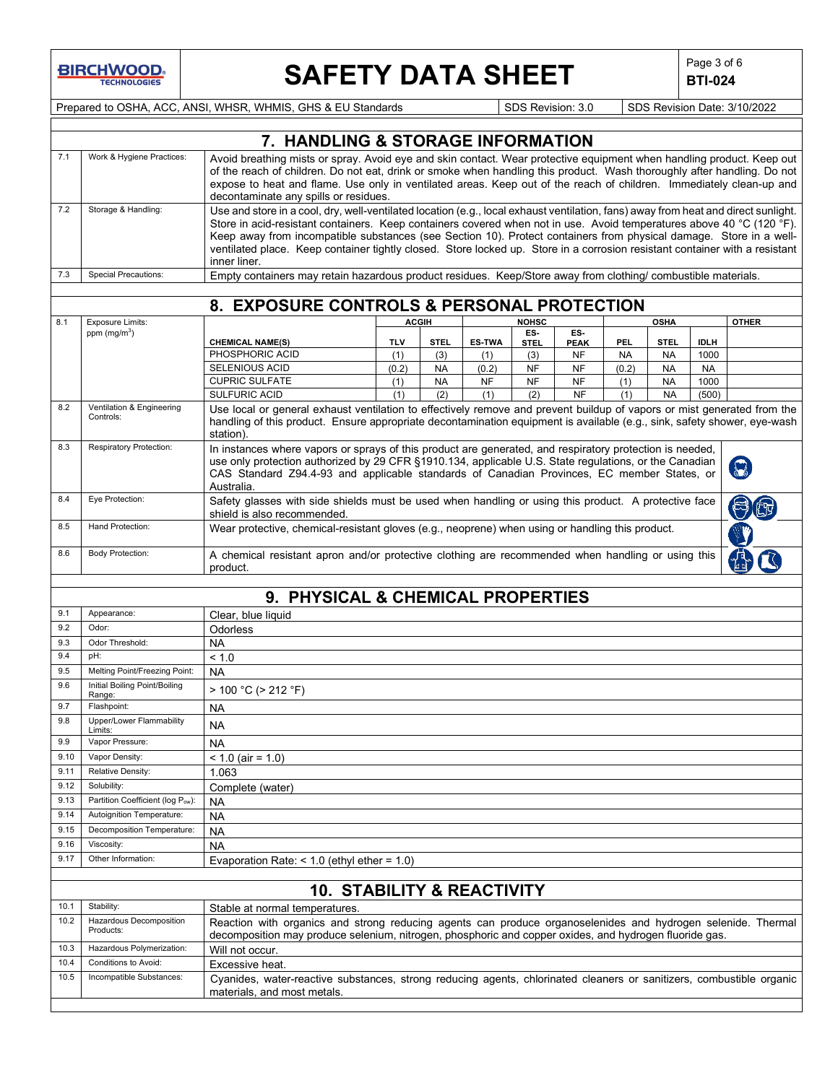## **SAFETY DATA SHEET**  $\left|\begin{array}{c} \mathsf{Page 3 of 6} \\ \mathsf{BTL} \end{array}\right|$

**BTI-024**

Prepared to OSHA, ACC, ANSI, WHSR, WHMIS, GHS & EU Standards Superiority SDS Revision: 3.0 SDS Revision Date: 3/10/2022

|             | 7. HANDLING & STORAGE INFORMATION                                                                                                                   |                                                                                                                                                                                                                        |                                                                                                                                                                                                                                                             |                    |                      |                    |                          |                         |                          |                     |              |
|-------------|-----------------------------------------------------------------------------------------------------------------------------------------------------|------------------------------------------------------------------------------------------------------------------------------------------------------------------------------------------------------------------------|-------------------------------------------------------------------------------------------------------------------------------------------------------------------------------------------------------------------------------------------------------------|--------------------|----------------------|--------------------|--------------------------|-------------------------|--------------------------|---------------------|--------------|
| 7.1         | Work & Hygiene Practices:                                                                                                                           | Avoid breathing mists or spray. Avoid eye and skin contact. Wear protective equipment when handling product. Keep out                                                                                                  |                                                                                                                                                                                                                                                             |                    |                      |                    |                          |                         |                          |                     |              |
|             |                                                                                                                                                     | of the reach of children. Do not eat, drink or smoke when handling this product. Wash thoroughly after handling. Do not                                                                                                |                                                                                                                                                                                                                                                             |                    |                      |                    |                          |                         |                          |                     |              |
|             |                                                                                                                                                     | expose to heat and flame. Use only in ventilated areas. Keep out of the reach of children. Immediately clean-up and                                                                                                    |                                                                                                                                                                                                                                                             |                    |                      |                    |                          |                         |                          |                     |              |
|             |                                                                                                                                                     | decontaminate any spills or residues.                                                                                                                                                                                  |                                                                                                                                                                                                                                                             |                    |                      |                    |                          |                         |                          |                     |              |
| 7.2         | Storage & Handling:                                                                                                                                 |                                                                                                                                                                                                                        | Use and store in a cool, dry, well-ventilated location (e.g., local exhaust ventilation, fans) away from heat and direct sunlight.<br>Store in acid-resistant containers. Keep containers covered when not in use. Avoid temperatures above 40 °C (120 °F). |                    |                      |                    |                          |                         |                          |                     |              |
|             |                                                                                                                                                     | Keep away from incompatible substances (see Section 10). Protect containers from physical damage. Store in a well-                                                                                                     |                                                                                                                                                                                                                                                             |                    |                      |                    |                          |                         |                          |                     |              |
|             |                                                                                                                                                     | ventilated place. Keep container tightly closed. Store locked up. Store in a corrosion resistant container with a resistant                                                                                            |                                                                                                                                                                                                                                                             |                    |                      |                    |                          |                         |                          |                     |              |
|             |                                                                                                                                                     | inner liner.                                                                                                                                                                                                           |                                                                                                                                                                                                                                                             |                    |                      |                    |                          |                         |                          |                     |              |
| 7.3         | <b>Special Precautions:</b>                                                                                                                         | Empty containers may retain hazardous product residues. Keep/Store away from clothing/ combustible materials.                                                                                                          |                                                                                                                                                                                                                                                             |                    |                      |                    |                          |                         |                          |                     |              |
|             |                                                                                                                                                     |                                                                                                                                                                                                                        |                                                                                                                                                                                                                                                             |                    |                      |                    |                          |                         |                          |                     |              |
|             |                                                                                                                                                     | 8. EXPOSURE CONTROLS & PERSONAL PROTECTION                                                                                                                                                                             |                                                                                                                                                                                                                                                             |                    |                      |                    |                          |                         |                          |                     |              |
| 8.1         | Exposure Limits:                                                                                                                                    |                                                                                                                                                                                                                        | <b>ACGIII</b>                                                                                                                                                                                                                                               |                    |                      | <b>NOHSC</b>       |                          |                         | <b>OSHA</b>              |                     | <b>OTHER</b> |
|             | ppm $(mg/m3)$                                                                                                                                       |                                                                                                                                                                                                                        |                                                                                                                                                                                                                                                             |                    |                      | ES-                | ES-                      |                         |                          |                     |              |
|             |                                                                                                                                                     | <b>CHEMICAL NAME(S)</b><br>PHOSPHORIC ACID                                                                                                                                                                             | TI V<br>(1)                                                                                                                                                                                                                                                 | <b>STEL</b><br>(3) | <b>ES-TWA</b><br>(1) | <b>STEL</b><br>(3) | <b>PEAK</b><br><b>NF</b> | <b>PEL</b><br><b>NA</b> | <b>STEL</b><br><b>NA</b> | <b>IDLH</b><br>1000 |              |
|             |                                                                                                                                                     | SELENIOUS ACID                                                                                                                                                                                                         | (0.2)                                                                                                                                                                                                                                                       | <b>NA</b>          | (0.2)                | <b>NF</b>          | <b>NF</b>                | (0.2)                   | <b>NA</b>                | <b>NA</b>           |              |
|             |                                                                                                                                                     | <b>CUPRIC SULFATE</b>                                                                                                                                                                                                  | (1)                                                                                                                                                                                                                                                         | <b>NA</b>          | <b>NF</b>            | <b>NF</b>          | <b>NF</b>                | (1)                     | <b>NA</b>                | 1000                |              |
|             |                                                                                                                                                     | SULFURIC ACID                                                                                                                                                                                                          | (1)                                                                                                                                                                                                                                                         | (2)                | (1)                  | (2)                | <b>NF</b>                | (1)                     | <b>NA</b>                | (500)               |              |
| 8.2         | Ventilation & Engineering                                                                                                                           | Use local or general exhaust ventilation to effectively remove and prevent buildup of vapors or mist generated from the                                                                                                |                                                                                                                                                                                                                                                             |                    |                      |                    |                          |                         |                          |                     |              |
|             | Controls:                                                                                                                                           | handling of this product. Ensure appropriate decontamination equipment is available (e.g., sink, safety shower, eye-wash                                                                                               |                                                                                                                                                                                                                                                             |                    |                      |                    |                          |                         |                          |                     |              |
|             |                                                                                                                                                     | station).                                                                                                                                                                                                              |                                                                                                                                                                                                                                                             |                    |                      |                    |                          |                         |                          |                     |              |
| 8.3         | <b>Respiratory Protection:</b>                                                                                                                      | In instances where vapors or sprays of this product are generated, and respiratory protection is needed,                                                                                                               |                                                                                                                                                                                                                                                             |                    |                      |                    |                          |                         |                          |                     |              |
|             |                                                                                                                                                     | use only protection authorized by 29 CFR §1910.134, applicable U.S. State regulations, or the Canadian<br>CAS Standard Z94.4-93 and applicable standards of Canadian Provinces, EC member States, or                   |                                                                                                                                                                                                                                                             |                    |                      |                    |                          |                         |                          |                     |              |
|             |                                                                                                                                                     | Australia.                                                                                                                                                                                                             |                                                                                                                                                                                                                                                             |                    |                      |                    |                          |                         |                          |                     |              |
| 8.4         | Eye Protection:                                                                                                                                     | Safety glasses with side shields must be used when handling or using this product. A protective face                                                                                                                   |                                                                                                                                                                                                                                                             |                    |                      |                    |                          |                         |                          |                     |              |
|             |                                                                                                                                                     | shield is also recommended.                                                                                                                                                                                            |                                                                                                                                                                                                                                                             |                    |                      |                    |                          |                         |                          |                     |              |
| 8.5         | Hand Protection:                                                                                                                                    | Wear protective, chemical-resistant gloves (e.g., neoprene) when using or handling this product.                                                                                                                       |                                                                                                                                                                                                                                                             |                    |                      |                    |                          |                         |                          |                     |              |
|             |                                                                                                                                                     |                                                                                                                                                                                                                        |                                                                                                                                                                                                                                                             |                    |                      |                    |                          |                         |                          |                     |              |
| 8.6         | <b>Body Protection:</b>                                                                                                                             | A chemical resistant apron and/or protective clothing are recommended when handling or using this                                                                                                                      |                                                                                                                                                                                                                                                             |                    |                      |                    |                          |                         |                          |                     |              |
|             |                                                                                                                                                     | product.                                                                                                                                                                                                               |                                                                                                                                                                                                                                                             |                    |                      |                    |                          |                         |                          |                     |              |
|             |                                                                                                                                                     |                                                                                                                                                                                                                        |                                                                                                                                                                                                                                                             |                    |                      |                    |                          |                         |                          |                     |              |
|             |                                                                                                                                                     | 9. PHYSICAL & CHEMICAL PROPERTIES                                                                                                                                                                                      |                                                                                                                                                                                                                                                             |                    |                      |                    |                          |                         |                          |                     |              |
| 9.1         | Appearance:                                                                                                                                         | Clear, blue liquid                                                                                                                                                                                                     |                                                                                                                                                                                                                                                             |                    |                      |                    |                          |                         |                          |                     |              |
| 9.2         | Odor:                                                                                                                                               | Odorless                                                                                                                                                                                                               |                                                                                                                                                                                                                                                             |                    |                      |                    |                          |                         |                          |                     |              |
| 9.3         | Odor Threshold:                                                                                                                                     | NA                                                                                                                                                                                                                     |                                                                                                                                                                                                                                                             |                    |                      |                    |                          |                         |                          |                     |              |
| 9.4         | pH:                                                                                                                                                 | < 1.0                                                                                                                                                                                                                  |                                                                                                                                                                                                                                                             |                    |                      |                    |                          |                         |                          |                     |              |
| 9.5         | Melting Point/Freezing Point:                                                                                                                       | <b>NA</b>                                                                                                                                                                                                              |                                                                                                                                                                                                                                                             |                    |                      |                    |                          |                         |                          |                     |              |
| 9.6         | Initial Boiling Point/Boiling<br>Range:                                                                                                             | > 100 °C (> 212 °F)                                                                                                                                                                                                    |                                                                                                                                                                                                                                                             |                    |                      |                    |                          |                         |                          |                     |              |
| 9.7         | Flashpoint:                                                                                                                                         | <b>NA</b>                                                                                                                                                                                                              |                                                                                                                                                                                                                                                             |                    |                      |                    |                          |                         |                          |                     |              |
| 9.8         | Upper/Lower Flammability                                                                                                                            | <b>NA</b>                                                                                                                                                                                                              |                                                                                                                                                                                                                                                             |                    |                      |                    |                          |                         |                          |                     |              |
|             | Limits:                                                                                                                                             |                                                                                                                                                                                                                        |                                                                                                                                                                                                                                                             |                    |                      |                    |                          |                         |                          |                     |              |
| 9.9<br>9.10 | Vapor Pressure:<br>Vapor Density:                                                                                                                   | NA.                                                                                                                                                                                                                    |                                                                                                                                                                                                                                                             |                    |                      |                    |                          |                         |                          |                     |              |
| 9.11        | Relative Density:                                                                                                                                   | $< 1.0$ (air = 1.0)                                                                                                                                                                                                    |                                                                                                                                                                                                                                                             |                    |                      |                    |                          |                         |                          |                     |              |
| 9.12        | Solubility:                                                                                                                                         | 1.063                                                                                                                                                                                                                  |                                                                                                                                                                                                                                                             |                    |                      |                    |                          |                         |                          |                     |              |
| 9.13        | Partition Coefficient (log Pow):                                                                                                                    | Complete (water)                                                                                                                                                                                                       |                                                                                                                                                                                                                                                             |                    |                      |                    |                          |                         |                          |                     |              |
| 9.14        | Autoignition Temperature:                                                                                                                           | ΝA                                                                                                                                                                                                                     |                                                                                                                                                                                                                                                             |                    |                      |                    |                          |                         |                          |                     |              |
| 9.15        | Decomposition Temperature:                                                                                                                          | <b>NA</b>                                                                                                                                                                                                              |                                                                                                                                                                                                                                                             |                    |                      |                    |                          |                         |                          |                     |              |
| 9.16        | Viscosity:                                                                                                                                          | <b>NA</b>                                                                                                                                                                                                              |                                                                                                                                                                                                                                                             |                    |                      |                    |                          |                         |                          |                     |              |
| 9.17        | Other Information:                                                                                                                                  | <b>NA</b>                                                                                                                                                                                                              |                                                                                                                                                                                                                                                             |                    |                      |                    |                          |                         |                          |                     |              |
|             |                                                                                                                                                     | Evaporation Rate: $<$ 1.0 (ethyl ether = 1.0)                                                                                                                                                                          |                                                                                                                                                                                                                                                             |                    |                      |                    |                          |                         |                          |                     |              |
|             |                                                                                                                                                     |                                                                                                                                                                                                                        |                                                                                                                                                                                                                                                             |                    |                      |                    |                          |                         |                          |                     |              |
|             |                                                                                                                                                     | <b>10. STABILITY &amp; REACTIVITY</b>                                                                                                                                                                                  |                                                                                                                                                                                                                                                             |                    |                      |                    |                          |                         |                          |                     |              |
| 10.1        | Stability:                                                                                                                                          | Stable at normal temperatures.                                                                                                                                                                                         |                                                                                                                                                                                                                                                             |                    |                      |                    |                          |                         |                          |                     |              |
| 10.2        | Hazardous Decomposition<br>Products:                                                                                                                | Reaction with organics and strong reducing agents can produce organoselenides and hydrogen selenide. Thermal<br>decomposition may produce selenium, nitrogen, phosphoric and copper oxides, and hydrogen fluoride gas. |                                                                                                                                                                                                                                                             |                    |                      |                    |                          |                         |                          |                     |              |
| 10.3        | Hazardous Polymerization:                                                                                                                           | Will not occur.                                                                                                                                                                                                        |                                                                                                                                                                                                                                                             |                    |                      |                    |                          |                         |                          |                     |              |
| 10.4        | Conditions to Avoid:                                                                                                                                | Excessive heat.                                                                                                                                                                                                        |                                                                                                                                                                                                                                                             |                    |                      |                    |                          |                         |                          |                     |              |
| 10.5        | Incompatible Substances:                                                                                                                            |                                                                                                                                                                                                                        |                                                                                                                                                                                                                                                             |                    |                      |                    |                          |                         |                          |                     |              |
|             | Cyanides, water-reactive substances, strong reducing agents, chlorinated cleaners or sanitizers, combustible organic<br>materials, and most metals. |                                                                                                                                                                                                                        |                                                                                                                                                                                                                                                             |                    |                      |                    |                          |                         |                          |                     |              |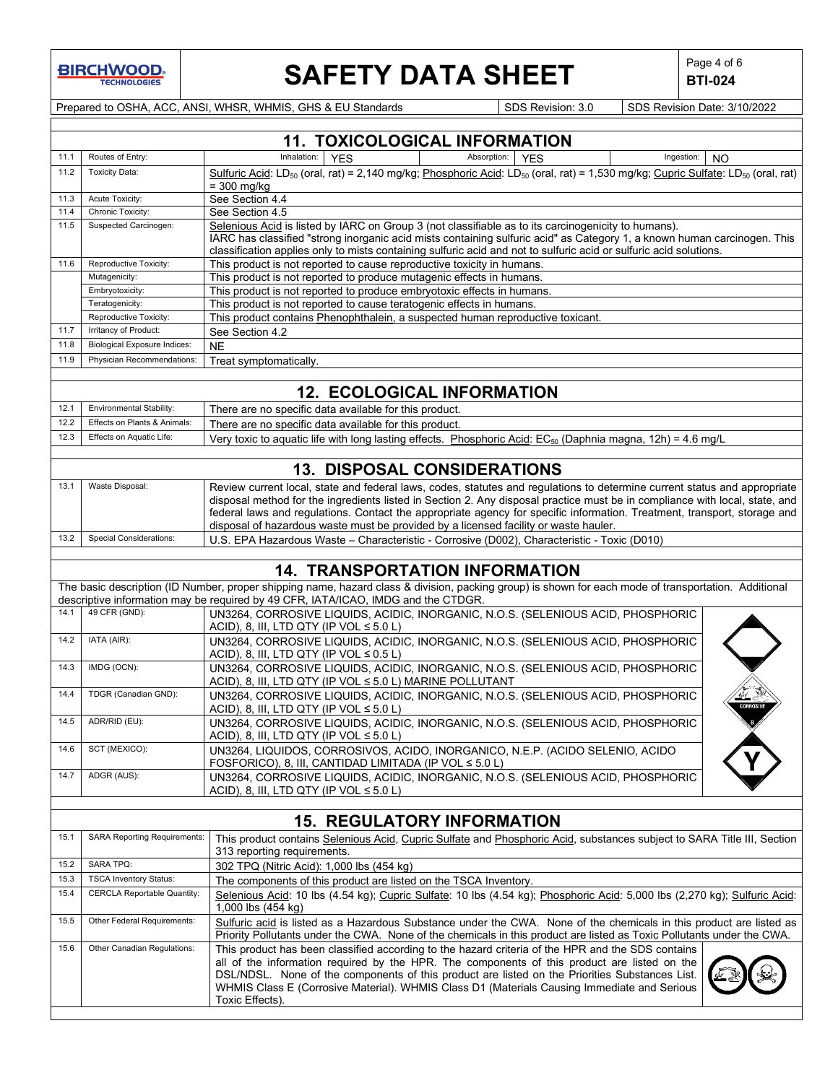

# **SAFETY DATA SHEET**  $\left|\begin{array}{cc} \text{Page 4 of 6} \\ \text{BIT-024} \end{array}\right|$

**BTI-024**

Prepared to OSHA, ACC, ANSI, WHSR, WHMIS, GHS & EU Standards Superintendial SDS Revision: 3.0 SDS Revision Date: 3/10/2022

|      | <b>11. TOXICOLOGICAL INFORMATION</b> |                                                                                                                                                                                                                                                                                                                                                                                                                       |  |  |  |  |  |  |
|------|--------------------------------------|-----------------------------------------------------------------------------------------------------------------------------------------------------------------------------------------------------------------------------------------------------------------------------------------------------------------------------------------------------------------------------------------------------------------------|--|--|--|--|--|--|
| 11.1 | Routes of Entry:                     | Inhalation:<br><b>YES</b><br>Absorption:<br><b>YES</b><br>Ingestion:<br><b>NO</b>                                                                                                                                                                                                                                                                                                                                     |  |  |  |  |  |  |
| 11.2 | <b>Toxicity Data:</b>                | Sulfuric Acid: LD <sub>50</sub> (oral, rat) = 2,140 mg/kg; Phosphoric Acid: LD <sub>50</sub> (oral, rat) = 1,530 mg/kg; Cupric Sulfate: LD <sub>50</sub> (oral, rat)<br>$=$ 300 mg/kg                                                                                                                                                                                                                                 |  |  |  |  |  |  |
| 11.3 | Acute Toxicity:                      | See Section 4.4                                                                                                                                                                                                                                                                                                                                                                                                       |  |  |  |  |  |  |
| 11.4 | Chronic Toxicity:                    | See Section 4.5                                                                                                                                                                                                                                                                                                                                                                                                       |  |  |  |  |  |  |
| 11.5 | Suspected Carcinogen:                | Selenious Acid is listed by IARC on Group 3 (not classifiable as to its carcinogenicity to humans).                                                                                                                                                                                                                                                                                                                   |  |  |  |  |  |  |
|      |                                      | IARC has classified "strong inorganic acid mists containing sulfuric acid" as Category 1, a known human carcinogen. This<br>classification applies only to mists containing sulfuric acid and not to sulfuric acid or sulfuric acid solutions.                                                                                                                                                                        |  |  |  |  |  |  |
| 11.6 | Reproductive Toxicity:               | This product is not reported to cause reproductive toxicity in humans.                                                                                                                                                                                                                                                                                                                                                |  |  |  |  |  |  |
|      | Mutagenicity:                        | This product is not reported to produce mutagenic effects in humans.                                                                                                                                                                                                                                                                                                                                                  |  |  |  |  |  |  |
|      | Embryotoxicity:                      | This product is not reported to produce embryotoxic effects in humans.                                                                                                                                                                                                                                                                                                                                                |  |  |  |  |  |  |
|      | Teratogenicity:                      | This product is not reported to cause teratogenic effects in humans.                                                                                                                                                                                                                                                                                                                                                  |  |  |  |  |  |  |
|      | Reproductive Toxicity:               | This product contains Phenophthalein, a suspected human reproductive toxicant.                                                                                                                                                                                                                                                                                                                                        |  |  |  |  |  |  |
| 11.7 | Irritancy of Product:                | See Section 4.2                                                                                                                                                                                                                                                                                                                                                                                                       |  |  |  |  |  |  |
| 11.8 | <b>Biological Exposure Indices:</b>  | <b>NE</b>                                                                                                                                                                                                                                                                                                                                                                                                             |  |  |  |  |  |  |
| 11.9 | Physician Recommendations:           |                                                                                                                                                                                                                                                                                                                                                                                                                       |  |  |  |  |  |  |
|      |                                      | Treat symptomatically.                                                                                                                                                                                                                                                                                                                                                                                                |  |  |  |  |  |  |
|      |                                      | <b>12. ECOLOGICAL INFORMATION</b>                                                                                                                                                                                                                                                                                                                                                                                     |  |  |  |  |  |  |
| 12.1 | <b>Environmental Stability:</b>      | There are no specific data available for this product.                                                                                                                                                                                                                                                                                                                                                                |  |  |  |  |  |  |
| 12.2 | Effects on Plants & Animals:         | There are no specific data available for this product.                                                                                                                                                                                                                                                                                                                                                                |  |  |  |  |  |  |
| 12.3 | Effects on Aquatic Life:             | Very toxic to aquatic life with long lasting effects. Phosphoric Acid: EC <sub>50</sub> (Daphnia magna, 12h) = 4.6 mg/L                                                                                                                                                                                                                                                                                               |  |  |  |  |  |  |
|      |                                      |                                                                                                                                                                                                                                                                                                                                                                                                                       |  |  |  |  |  |  |
|      |                                      | <b>13. DISPOSAL CONSIDERATIONS</b>                                                                                                                                                                                                                                                                                                                                                                                    |  |  |  |  |  |  |
| 13.1 | Waste Disposal:                      | Review current local, state and federal laws, codes, statutes and regulations to determine current status and appropriate                                                                                                                                                                                                                                                                                             |  |  |  |  |  |  |
|      |                                      | disposal method for the ingredients listed in Section 2. Any disposal practice must be in compliance with local, state, and                                                                                                                                                                                                                                                                                           |  |  |  |  |  |  |
|      |                                      | federal laws and regulations. Contact the appropriate agency for specific information. Treatment, transport, storage and                                                                                                                                                                                                                                                                                              |  |  |  |  |  |  |
|      |                                      | disposal of hazardous waste must be provided by a licensed facility or waste hauler.                                                                                                                                                                                                                                                                                                                                  |  |  |  |  |  |  |
| 13.2 | <b>Special Considerations:</b>       | U.S. EPA Hazardous Waste - Characteristic - Corrosive (D002), Characteristic - Toxic (D010)                                                                                                                                                                                                                                                                                                                           |  |  |  |  |  |  |
|      |                                      |                                                                                                                                                                                                                                                                                                                                                                                                                       |  |  |  |  |  |  |
|      |                                      | <b>14. TRANSPORTATION INFORMATION</b>                                                                                                                                                                                                                                                                                                                                                                                 |  |  |  |  |  |  |
|      |                                      | The basic description (ID Number, proper shipping name, hazard class & division, packing group) is shown for each mode of transportation. Additional                                                                                                                                                                                                                                                                  |  |  |  |  |  |  |
|      |                                      | descriptive information may be required by 49 CFR, IATA/ICAO, IMDG and the CTDGR.                                                                                                                                                                                                                                                                                                                                     |  |  |  |  |  |  |
| 14.1 | 49 CFR (GND):                        | UN3264, CORROSIVE LIQUIDS, ACIDIC, INORGANIC, N.O.S. (SELENIOUS ACID, PHOSPHORIC                                                                                                                                                                                                                                                                                                                                      |  |  |  |  |  |  |
|      |                                      | ACID), 8, III, LTD QTY (IP VOL $\leq 5.0$ L)                                                                                                                                                                                                                                                                                                                                                                          |  |  |  |  |  |  |
| 14.2 | IATA (AIR):                          | UN3264, CORROSIVE LIQUIDS, ACIDIC, INORGANIC, N.O.S. (SELENIOUS ACID, PHOSPHORIC                                                                                                                                                                                                                                                                                                                                      |  |  |  |  |  |  |
|      |                                      | ACID), 8, III, LTD QTY (IP VOL $\leq 0.5$ L)                                                                                                                                                                                                                                                                                                                                                                          |  |  |  |  |  |  |
| 14.3 | IMDG (OCN):                          | UN3264, CORROSIVE LIQUIDS, ACIDIC, INORGANIC, N.O.S. (SELENIOUS ACID, PHOSPHORIC                                                                                                                                                                                                                                                                                                                                      |  |  |  |  |  |  |
|      |                                      | ACID), 8, III, LTD QTY (IP VOL ≤ 5.0 L) MARINE POLLUTANT                                                                                                                                                                                                                                                                                                                                                              |  |  |  |  |  |  |
| 14.4 | TDGR (Canadian GND):                 | UN3264, CORROSIVE LIQUIDS, ACIDIC, INORGANIC, N.O.S. (SELENIOUS ACID, PHOSPHORIC                                                                                                                                                                                                                                                                                                                                      |  |  |  |  |  |  |
|      |                                      | CORROSI<br>ACID), 8, III, LTD QTY (IP VOL $\leq 5.0$ L)                                                                                                                                                                                                                                                                                                                                                               |  |  |  |  |  |  |
| 14.5 | ADR/RID (EU):                        | UN3264, CORROSIVE LIQUIDS, ACIDIC, INORGANIC, N.O.S. (SELENIOUS ACID, PHOSPHORIC                                                                                                                                                                                                                                                                                                                                      |  |  |  |  |  |  |
|      |                                      | ACID), 8, III, LTD QTY (IP VOL $\leq 5.0$ L)                                                                                                                                                                                                                                                                                                                                                                          |  |  |  |  |  |  |
| 14.6 | SCT (MEXICO):                        | UN3264, LIQUIDOS, CORROSIVOS, ACIDO, INORGANICO, N.E.P. (ACIDO SELENIO, ACIDO                                                                                                                                                                                                                                                                                                                                         |  |  |  |  |  |  |
|      |                                      | FOSFORICO), 8, III, CANTIDAD LIMITADA (IP VOL ≤ 5.0 L)                                                                                                                                                                                                                                                                                                                                                                |  |  |  |  |  |  |
| 14.7 | ADGR (AUS):                          | UN3264, CORROSIVE LIQUIDS, ACIDIC, INORGANIC, N.O.S. (SELENIOUS ACID, PHOSPHORIC                                                                                                                                                                                                                                                                                                                                      |  |  |  |  |  |  |
|      |                                      | ACID), 8, III, LTD QTY (IP VOL $\leq 5.0$ L)                                                                                                                                                                                                                                                                                                                                                                          |  |  |  |  |  |  |
|      |                                      |                                                                                                                                                                                                                                                                                                                                                                                                                       |  |  |  |  |  |  |
|      |                                      | <b>15. REGULATORY INFORMATION</b>                                                                                                                                                                                                                                                                                                                                                                                     |  |  |  |  |  |  |
| 15.1 | <b>SARA Reporting Requirements:</b>  | This product contains Selenious Acid, Cupric Sulfate and Phosphoric Acid, substances subject to SARA Title III, Section                                                                                                                                                                                                                                                                                               |  |  |  |  |  |  |
|      |                                      | 313 reporting requirements.                                                                                                                                                                                                                                                                                                                                                                                           |  |  |  |  |  |  |
| 15.2 | <b>SARA TPQ:</b>                     | 302 TPQ (Nitric Acid): 1,000 lbs (454 kg)                                                                                                                                                                                                                                                                                                                                                                             |  |  |  |  |  |  |
| 15.3 | <b>TSCA Inventory Status:</b>        | The components of this product are listed on the TSCA Inventory.                                                                                                                                                                                                                                                                                                                                                      |  |  |  |  |  |  |
| 15.4 | <b>CERCLA Reportable Quantity:</b>   | Selenious Acid: 10 lbs (4.54 kg); Cupric Sulfate: 10 lbs (4.54 kg); Phosphoric Acid: 5,000 lbs (2,270 kg); Sulfuric Acid:<br>1,000 lbs (454 kg)                                                                                                                                                                                                                                                                       |  |  |  |  |  |  |
| 15.5 | Other Federal Requirements:          | Sulfuric acid is listed as a Hazardous Substance under the CWA. None of the chemicals in this product are listed as<br>Priority Pollutants under the CWA. None of the chemicals in this product are listed as Toxic Pollutants under the CWA.                                                                                                                                                                         |  |  |  |  |  |  |
| 15.6 | Other Canadian Regulations:          | This product has been classified according to the hazard criteria of the HPR and the SDS contains<br>all of the information required by the HPR. The components of this product are listed on the<br>DSL/NDSL. None of the components of this product are listed on the Priorities Substances List.<br>WHMIS Class E (Corrosive Material). WHMIS Class D1 (Materials Causing Immediate and Serious<br>Toxic Effects). |  |  |  |  |  |  |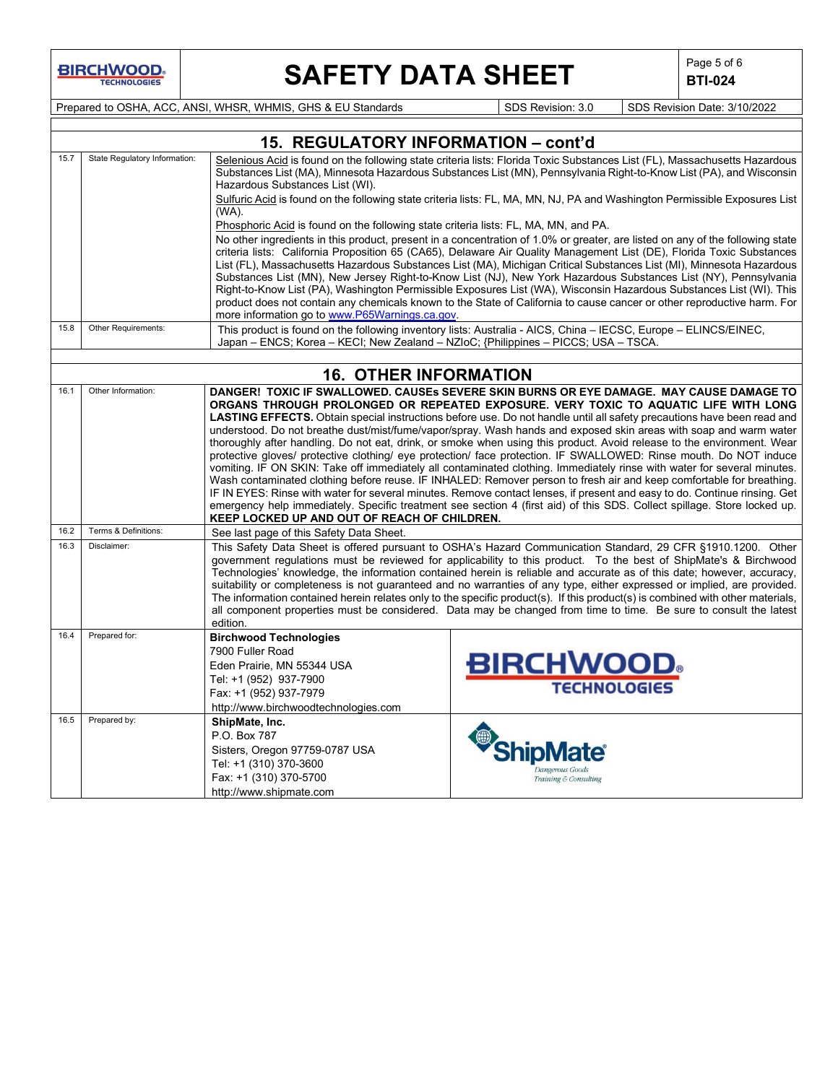$\mathsf{I}$ 

## **SAFETY DATA SHEET**  $\left|\begin{array}{cc} \text{Page 5 of 6} \\ \text{BIT-024} \end{array}\right|$

**BTI-024**

 $\overline{\phantom{a}}$ 

Prepared to OSHA, ACC, ANSI, WHSR, WHMIS, GHS & EU Standards Superiority SDS Revision: 3.0 SDS Revision Date: 3/10/2022

|      |                               | 15. REGULATORY INFORMATION - cont'd                                                                                                                                                                                                               |                                                                                                                                                                                                                                                   |  |  |  |  |
|------|-------------------------------|---------------------------------------------------------------------------------------------------------------------------------------------------------------------------------------------------------------------------------------------------|---------------------------------------------------------------------------------------------------------------------------------------------------------------------------------------------------------------------------------------------------|--|--|--|--|
| 15.7 | State Regulatory Information: | Hazardous Substances List (WI).                                                                                                                                                                                                                   | Selenious Acid is found on the following state criteria lists: Florida Toxic Substances List (FL), Massachusetts Hazardous<br>Substances List (MA), Minnesota Hazardous Substances List (MN), Pennsylvania Right-to-Know List (PA), and Wisconsin |  |  |  |  |
|      |                               | (WA).                                                                                                                                                                                                                                             | Sulfuric Acid is found on the following state criteria lists: FL, MA, MN, NJ, PA and Washington Permissible Exposures List                                                                                                                        |  |  |  |  |
|      |                               | Phosphoric Acid is found on the following state criteria lists: FL, MA, MN, and PA.                                                                                                                                                               |                                                                                                                                                                                                                                                   |  |  |  |  |
|      |                               |                                                                                                                                                                                                                                                   | No other ingredients in this product, present in a concentration of 1.0% or greater, are listed on any of the following state                                                                                                                     |  |  |  |  |
|      |                               |                                                                                                                                                                                                                                                   | criteria lists: California Proposition 65 (CA65), Delaware Air Quality Management List (DE), Florida Toxic Substances                                                                                                                             |  |  |  |  |
|      |                               |                                                                                                                                                                                                                                                   | List (FL), Massachusetts Hazardous Substances List (MA), Michigan Critical Substances List (MI), Minnesota Hazardous<br>Substances List (MN), New Jersey Right-to-Know List (NJ), New York Hazardous Substances List (NY), Pennsylvania           |  |  |  |  |
|      |                               |                                                                                                                                                                                                                                                   | Right-to-Know List (PA), Washington Permissible Exposures List (WA), Wisconsin Hazardous Substances List (WI). This                                                                                                                               |  |  |  |  |
|      |                               |                                                                                                                                                                                                                                                   | product does not contain any chemicals known to the State of California to cause cancer or other reproductive harm. For                                                                                                                           |  |  |  |  |
| 15.8 | Other Requirements:           | more information go to www.P65Warnings.ca.gov.                                                                                                                                                                                                    |                                                                                                                                                                                                                                                   |  |  |  |  |
|      |                               | Japan - ENCS; Korea - KECI; New Zealand - NZIoC; {Philippines - PICCS; USA - TSCA.                                                                                                                                                                | This product is found on the following inventory lists: Australia - AICS, China - IECSC, Europe - ELINCS/EINEC,                                                                                                                                   |  |  |  |  |
|      |                               |                                                                                                                                                                                                                                                   |                                                                                                                                                                                                                                                   |  |  |  |  |
|      |                               | <b>16. OTHER INFORMATION</b>                                                                                                                                                                                                                      |                                                                                                                                                                                                                                                   |  |  |  |  |
| 16.1 | Other Information:            |                                                                                                                                                                                                                                                   | DANGER! TOXIC IF SWALLOWED. CAUSEs SEVERE SKIN BURNS OR EYE DAMAGE. MAY CAUSE DAMAGE TO<br>ORGANS THROUGH PROLONGED OR REPEATED EXPOSURE. VERY TOXIC TO AQUATIC LIFE WITH LONG                                                                    |  |  |  |  |
|      |                               |                                                                                                                                                                                                                                                   | LASTING EFFECTS. Obtain special instructions before use. Do not handle until all safety precautions have been read and<br>understood. Do not breathe dust/mist/fume/vapor/spray. Wash hands and exposed skin areas with soap and warm water       |  |  |  |  |
|      |                               |                                                                                                                                                                                                                                                   | thoroughly after handling. Do not eat, drink, or smoke when using this product. Avoid release to the environment. Wear                                                                                                                            |  |  |  |  |
|      |                               |                                                                                                                                                                                                                                                   | protective gloves/ protective clothing/ eye protection/ face protection. IF SWALLOWED: Rinse mouth. Do NOT induce                                                                                                                                 |  |  |  |  |
|      |                               |                                                                                                                                                                                                                                                   | vomiting. IF ON SKIN: Take off immediately all contaminated clothing. Immediately rinse with water for several minutes.                                                                                                                           |  |  |  |  |
|      |                               | Wash contaminated clothing before reuse. IF INHALED: Remover person to fresh air and keep comfortable for breathing.<br>IF IN EYES: Rinse with water for several minutes. Remove contact lenses, if present and easy to do. Continue rinsing. Get |                                                                                                                                                                                                                                                   |  |  |  |  |
|      |                               | KEEP LOCKED UP AND OUT OF REACH OF CHILDREN.                                                                                                                                                                                                      | emergency help immediately. Specific treatment see section 4 (first aid) of this SDS. Collect spillage. Store locked up.                                                                                                                          |  |  |  |  |
| 16.2 | Terms & Definitions:          | See last page of this Safety Data Sheet.                                                                                                                                                                                                          |                                                                                                                                                                                                                                                   |  |  |  |  |
| 16.3 | Disclaimer:                   |                                                                                                                                                                                                                                                   | This Safety Data Sheet is offered pursuant to OSHA's Hazard Communication Standard, 29 CFR §1910.1200. Other                                                                                                                                      |  |  |  |  |
|      |                               |                                                                                                                                                                                                                                                   | government regulations must be reviewed for applicability to this product. To the best of ShipMate's & Birchwood<br>Technologies' knowledge, the information contained herein is reliable and accurate as of this date; however, accuracy,        |  |  |  |  |
|      |                               |                                                                                                                                                                                                                                                   | suitability or completeness is not guaranteed and no warranties of any type, either expressed or implied, are provided.                                                                                                                           |  |  |  |  |
|      |                               |                                                                                                                                                                                                                                                   | The information contained herein relates only to the specific product(s). If this product(s) is combined with other materials,                                                                                                                    |  |  |  |  |
|      |                               |                                                                                                                                                                                                                                                   | all component properties must be considered. Data may be changed from time to time. Be sure to consult the latest                                                                                                                                 |  |  |  |  |
|      |                               |                                                                                                                                                                                                                                                   |                                                                                                                                                                                                                                                   |  |  |  |  |
|      |                               |                                                                                                                                                                                                                                                   |                                                                                                                                                                                                                                                   |  |  |  |  |
|      |                               |                                                                                                                                                                                                                                                   |                                                                                                                                                                                                                                                   |  |  |  |  |
|      |                               | Tel: +1 (952) 937-7900                                                                                                                                                                                                                            |                                                                                                                                                                                                                                                   |  |  |  |  |
|      |                               | Fax: +1 (952) 937-7979                                                                                                                                                                                                                            |                                                                                                                                                                                                                                                   |  |  |  |  |
|      |                               | http://www.birchwoodtechnologies.com                                                                                                                                                                                                              |                                                                                                                                                                                                                                                   |  |  |  |  |
| 16.5 | Prepared by:                  | ShipMate, Inc.                                                                                                                                                                                                                                    |                                                                                                                                                                                                                                                   |  |  |  |  |
|      |                               |                                                                                                                                                                                                                                                   |                                                                                                                                                                                                                                                   |  |  |  |  |
|      |                               |                                                                                                                                                                                                                                                   |                                                                                                                                                                                                                                                   |  |  |  |  |
|      |                               |                                                                                                                                                                                                                                                   | Dangerous Goods                                                                                                                                                                                                                                   |  |  |  |  |
|      |                               |                                                                                                                                                                                                                                                   |                                                                                                                                                                                                                                                   |  |  |  |  |
| 16.4 | Prepared for:                 | edition.<br><b>Birchwood Technologies</b><br>7900 Fuller Road<br>Eden Prairie, MN 55344 USA<br>P.O. Box 787<br>Sisters, Oregon 97759-0787 USA<br>Tel: +1 (310) 370-3600<br>Fax: +1 (310) 370-5700<br>http://www.shipmate.com                      | <b>BIRCHWOOD</b><br><b>TECHNOLOGIES</b><br><b>ShipM</b><br>Training & Consulting                                                                                                                                                                  |  |  |  |  |